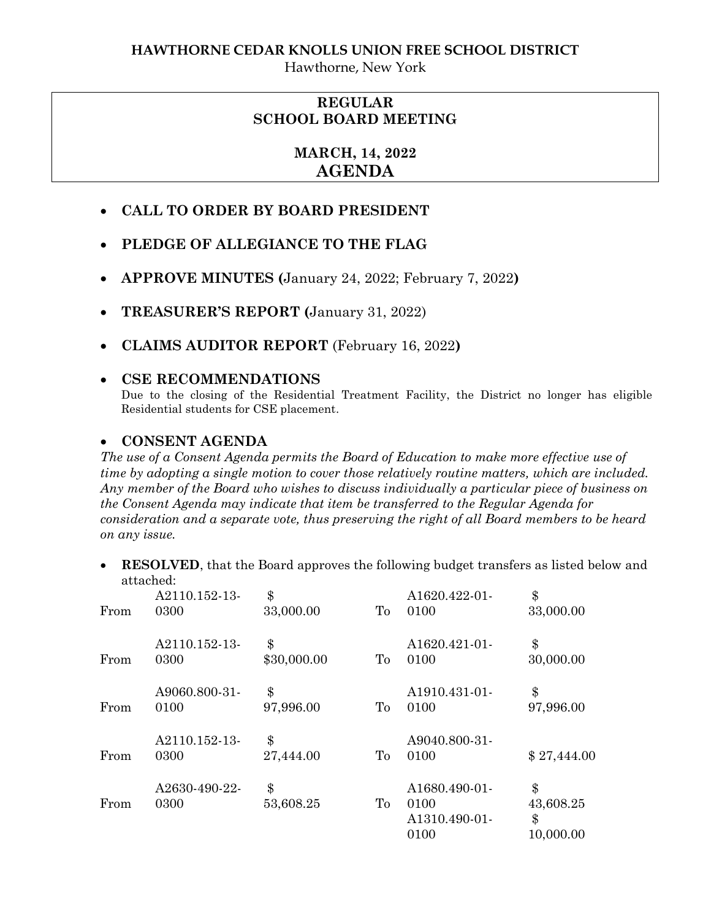Hawthorne, New York

## **REGULAR SCHOOL BOARD MEETING**

# **MARCH, 14, 2022 AGENDA**

- **CALL TO ORDER BY BOARD PRESIDENT**
- **PLEDGE OF ALLEGIANCE TO THE FLAG**
- **APPROVE MINUTES (**January 24, 2022; February 7, 2022**)**
- **TREASURER'S REPORT (**January 31, 2022)
- **CLAIMS AUDITOR REPORT** (February 16, 2022**)**

### **CSE RECOMMENDATIONS**

Due to the closing of the Residential Treatment Facility, the District no longer has eligible Residential students for CSE placement.

### **CONSENT AGENDA**

*The use of a Consent Agenda permits the Board of Education to make more effective use of time by adopting a single motion to cover those relatively routine matters, which are included. Any member of the Board who wishes to discuss individually a particular piece of business on the Consent Agenda may indicate that item be transferred to the Regular Agenda for consideration and a separate vote, thus preserving the right of all Board members to be heard on any issue.* 

 **RESOLVED**, that the Board approves the following budget transfers as listed below and attached:

| From | A2110.152-13-<br>0300 | \$<br>33,000.00   | To | A1620.422-01-<br>0100                          | \$<br>33,000.00                    |
|------|-----------------------|-------------------|----|------------------------------------------------|------------------------------------|
| From | A2110.152-13-<br>0300 | \$<br>\$30,000.00 | To | A1620.421-01-<br>0100                          | \$<br>30,000.00                    |
| From | A9060.800-31-<br>0100 | \$<br>97,996.00   | To | A1910.431-01-<br>0100                          | \$<br>97,996.00                    |
| From | A2110.152-13-<br>0300 | \$<br>27,444.00   | To | A9040.800-31-<br>0100                          | \$27,444.00                        |
| From | A2630-490-22-<br>0300 | \$<br>53,608.25   | To | A1680.490-01-<br>0100<br>A1310.490-01-<br>0100 | \$<br>43,608.25<br>\$<br>10,000.00 |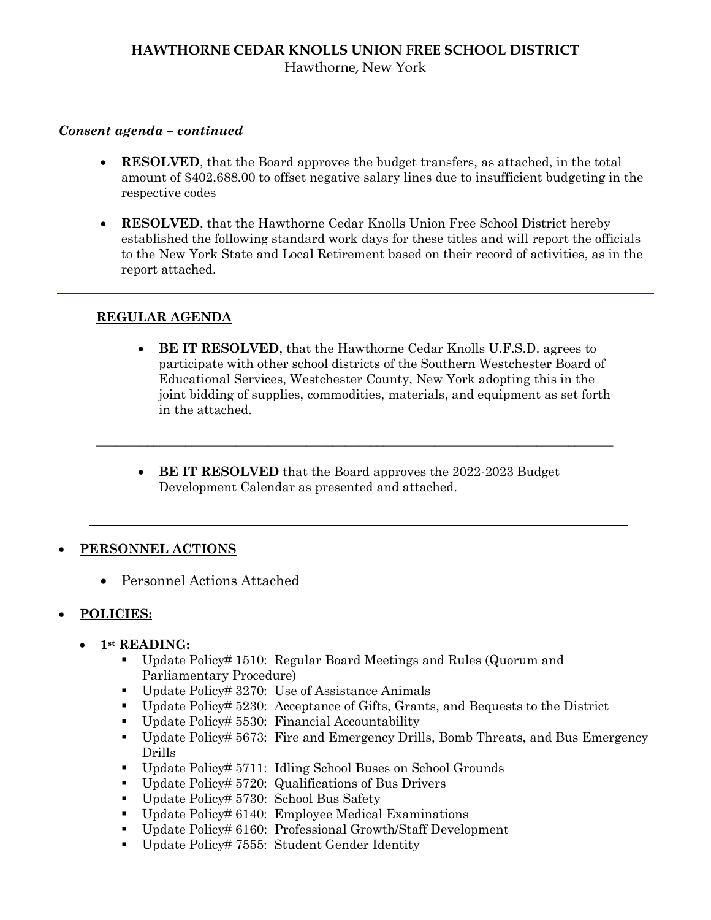### **HAWTHORNE CEDAR KNOLLS UNION FREE SCHOOL DISTRICT** Hawthorne, New York

#### *Consent agenda – continued*

- **RESOLVED**, that the Board approves the budget transfers, as attached, in the total amount of \$402,688.00 to offset negative salary lines due to insufficient budgeting in the respective codes
- **RESOLVED**, that the Hawthorne Cedar Knolls Union Free School District hereby established the following standard work days for these titles and will report the officials to the New York State and Local Retirement based on their record of activities, as in the report attached.

#### **REGULAR AGENDA**

- **BE IT RESOLVED**, that the Hawthorne Cedar Knolls U.F.S.D. agrees to participate with other school districts of the Southern Westchester Board of Educational Services, Westchester County, New York adopting this in the joint bidding of supplies, commodities, materials, and equipment as set forth in the attached.
- **BE IT RESOLVED** that the Board approves the 2022-2023 Budget Development Calendar as presented and attached.

 $\mathcal{L}_\mathcal{L} = \mathcal{L}_\mathcal{L} = \mathcal{L}_\mathcal{L} = \mathcal{L}_\mathcal{L} = \mathcal{L}_\mathcal{L} = \mathcal{L}_\mathcal{L} = \mathcal{L}_\mathcal{L} = \mathcal{L}_\mathcal{L} = \mathcal{L}_\mathcal{L} = \mathcal{L}_\mathcal{L} = \mathcal{L}_\mathcal{L} = \mathcal{L}_\mathcal{L} = \mathcal{L}_\mathcal{L} = \mathcal{L}_\mathcal{L} = \mathcal{L}_\mathcal{L} = \mathcal{L}_\mathcal{L} = \mathcal{L}_\mathcal{L}$ 

### **PERSONNEL ACTIONS**

Personnel Actions Attached

### **POLICIES:**

- **1st READING:**
	- Update Policy# 1510: Regular Board Meetings and Rules (Quorum and Parliamentary Procedure)
	- Update Policy# 3270: Use of Assistance Animals
	- Update Policy# 5230: Acceptance of Gifts, Grants, and Bequests to the District
	- Update Policy# 5530: Financial Accountability
	- Update Policy# 5673: Fire and Emergency Drills, Bomb Threats, and Bus Emergency Drills
	- Update Policy# 5711: Idling School Buses on School Grounds
	- Update Policy# 5720: Qualifications of Bus Drivers
	- Update Policy# 5730: School Bus Safety
	- Update Policy# 6140: Employee Medical Examinations
	- Update Policy# 6160: Professional Growth/Staff Development
	- Update Policy# 7555: Student Gender Identity